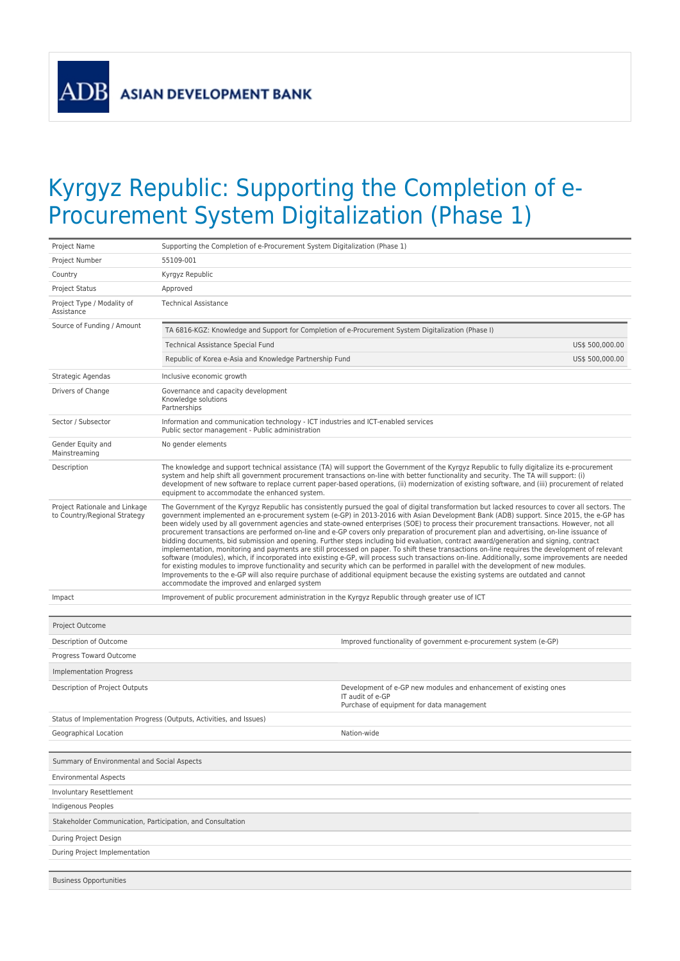ADB

## Kyrgyz Republic: Supporting the Completion of e-Procurement System Digitalization (Phase 1)

| Project Name                                                  | Supporting the Completion of e-Procurement System Digitalization (Phase 1)                                                                                                                                                                                                                                                                                                                                                                                                                  |                                                                                                                                                                                                                                                                                                                                                                                                                                                                                                                                                                                                                                                                                                                                                                                                                                                                                                                                                                                                                                                                                                                                                                            |  |
|---------------------------------------------------------------|---------------------------------------------------------------------------------------------------------------------------------------------------------------------------------------------------------------------------------------------------------------------------------------------------------------------------------------------------------------------------------------------------------------------------------------------------------------------------------------------|----------------------------------------------------------------------------------------------------------------------------------------------------------------------------------------------------------------------------------------------------------------------------------------------------------------------------------------------------------------------------------------------------------------------------------------------------------------------------------------------------------------------------------------------------------------------------------------------------------------------------------------------------------------------------------------------------------------------------------------------------------------------------------------------------------------------------------------------------------------------------------------------------------------------------------------------------------------------------------------------------------------------------------------------------------------------------------------------------------------------------------------------------------------------------|--|
| Project Number                                                | 55109-001                                                                                                                                                                                                                                                                                                                                                                                                                                                                                   |                                                                                                                                                                                                                                                                                                                                                                                                                                                                                                                                                                                                                                                                                                                                                                                                                                                                                                                                                                                                                                                                                                                                                                            |  |
| Country                                                       | Kyrgyz Republic                                                                                                                                                                                                                                                                                                                                                                                                                                                                             |                                                                                                                                                                                                                                                                                                                                                                                                                                                                                                                                                                                                                                                                                                                                                                                                                                                                                                                                                                                                                                                                                                                                                                            |  |
| <b>Project Status</b>                                         | Approved                                                                                                                                                                                                                                                                                                                                                                                                                                                                                    |                                                                                                                                                                                                                                                                                                                                                                                                                                                                                                                                                                                                                                                                                                                                                                                                                                                                                                                                                                                                                                                                                                                                                                            |  |
| Project Type / Modality of<br>Assistance                      | <b>Technical Assistance</b>                                                                                                                                                                                                                                                                                                                                                                                                                                                                 |                                                                                                                                                                                                                                                                                                                                                                                                                                                                                                                                                                                                                                                                                                                                                                                                                                                                                                                                                                                                                                                                                                                                                                            |  |
| Source of Funding / Amount                                    | TA 6816-KGZ: Knowledge and Support for Completion of e-Procurement System Digitalization (Phase I)                                                                                                                                                                                                                                                                                                                                                                                          |                                                                                                                                                                                                                                                                                                                                                                                                                                                                                                                                                                                                                                                                                                                                                                                                                                                                                                                                                                                                                                                                                                                                                                            |  |
|                                                               | Technical Assistance Special Fund                                                                                                                                                                                                                                                                                                                                                                                                                                                           | US\$ 500,000.00                                                                                                                                                                                                                                                                                                                                                                                                                                                                                                                                                                                                                                                                                                                                                                                                                                                                                                                                                                                                                                                                                                                                                            |  |
|                                                               | Republic of Korea e-Asia and Knowledge Partnership Fund                                                                                                                                                                                                                                                                                                                                                                                                                                     | US\$ 500,000.00                                                                                                                                                                                                                                                                                                                                                                                                                                                                                                                                                                                                                                                                                                                                                                                                                                                                                                                                                                                                                                                                                                                                                            |  |
| Strategic Agendas                                             | Inclusive economic growth                                                                                                                                                                                                                                                                                                                                                                                                                                                                   |                                                                                                                                                                                                                                                                                                                                                                                                                                                                                                                                                                                                                                                                                                                                                                                                                                                                                                                                                                                                                                                                                                                                                                            |  |
| Drivers of Change                                             | Governance and capacity development<br>Knowledge solutions<br>Partnerships                                                                                                                                                                                                                                                                                                                                                                                                                  |                                                                                                                                                                                                                                                                                                                                                                                                                                                                                                                                                                                                                                                                                                                                                                                                                                                                                                                                                                                                                                                                                                                                                                            |  |
| Sector / Subsector                                            | Information and communication technology - ICT industries and ICT-enabled services<br>Public sector management - Public administration                                                                                                                                                                                                                                                                                                                                                      |                                                                                                                                                                                                                                                                                                                                                                                                                                                                                                                                                                                                                                                                                                                                                                                                                                                                                                                                                                                                                                                                                                                                                                            |  |
| Gender Equity and<br>Mainstreaming                            | No gender elements                                                                                                                                                                                                                                                                                                                                                                                                                                                                          |                                                                                                                                                                                                                                                                                                                                                                                                                                                                                                                                                                                                                                                                                                                                                                                                                                                                                                                                                                                                                                                                                                                                                                            |  |
| Description                                                   | The knowledge and support technical assistance (TA) will support the Government of the Kyrgyz Republic to fully digitalize its e-procurement<br>system and help shift all government procurement transactions on-line with better functionality and security. The TA will support: (i)<br>development of new software to replace current paper-based operations, (ii) modernization of existing software, and (iii) procurement of related<br>equipment to accommodate the enhanced system. |                                                                                                                                                                                                                                                                                                                                                                                                                                                                                                                                                                                                                                                                                                                                                                                                                                                                                                                                                                                                                                                                                                                                                                            |  |
| Project Rationale and Linkage<br>to Country/Regional Strategy | Improvements to the e-GP will also require purchase of additional equipment because the existing systems are outdated and cannot                                                                                                                                                                                                                                                                                                                                                            | The Government of the Kyrgyz Republic has consistently pursued the goal of digital transformation but lacked resources to cover all sectors. The<br>government implemented an e-procurement system (e-GP) in 2013-2016 with Asian Development Bank (ADB) support. Since 2015, the e-GP has<br>been widely used by all government agencies and state-owned enterprises (SOE) to process their procurement transactions. However, not all<br>procurement transactions are performed on-line and e-GP covers only preparation of procurement plan and advertising, on-line issuance of<br>bidding documents, bid submission and opening. Further steps including bid evaluation, contract award/generation and signing, contract<br>implementation, monitoring and payments are still processed on paper. To shift these transactions on-line requires the development of relevant<br>software (modules), which, if incorporated into existing e-GP, will process such transactions on-line. Additionally, some improvements are needed<br>for existing modules to improve functionality and security which can be performed in parallel with the development of new modules. |  |
|                                                               | accommodate the improved and enlarged system                                                                                                                                                                                                                                                                                                                                                                                                                                                |                                                                                                                                                                                                                                                                                                                                                                                                                                                                                                                                                                                                                                                                                                                                                                                                                                                                                                                                                                                                                                                                                                                                                                            |  |
| Impact                                                        | Improvement of public procurement administration in the Kyrgyz Republic through greater use of ICT                                                                                                                                                                                                                                                                                                                                                                                          |                                                                                                                                                                                                                                                                                                                                                                                                                                                                                                                                                                                                                                                                                                                                                                                                                                                                                                                                                                                                                                                                                                                                                                            |  |
|                                                               |                                                                                                                                                                                                                                                                                                                                                                                                                                                                                             |                                                                                                                                                                                                                                                                                                                                                                                                                                                                                                                                                                                                                                                                                                                                                                                                                                                                                                                                                                                                                                                                                                                                                                            |  |
| Project Outcome                                               |                                                                                                                                                                                                                                                                                                                                                                                                                                                                                             |                                                                                                                                                                                                                                                                                                                                                                                                                                                                                                                                                                                                                                                                                                                                                                                                                                                                                                                                                                                                                                                                                                                                                                            |  |
| Description of Outcome                                        |                                                                                                                                                                                                                                                                                                                                                                                                                                                                                             | Improved functionality of government e-procurement system (e-GP)                                                                                                                                                                                                                                                                                                                                                                                                                                                                                                                                                                                                                                                                                                                                                                                                                                                                                                                                                                                                                                                                                                           |  |
| Progress Toward Outcome                                       |                                                                                                                                                                                                                                                                                                                                                                                                                                                                                             |                                                                                                                                                                                                                                                                                                                                                                                                                                                                                                                                                                                                                                                                                                                                                                                                                                                                                                                                                                                                                                                                                                                                                                            |  |
| <b>Implementation Progress</b>                                |                                                                                                                                                                                                                                                                                                                                                                                                                                                                                             |                                                                                                                                                                                                                                                                                                                                                                                                                                                                                                                                                                                                                                                                                                                                                                                                                                                                                                                                                                                                                                                                                                                                                                            |  |
| Description of Project Outputs                                |                                                                                                                                                                                                                                                                                                                                                                                                                                                                                             | Development of e-GP new modules and enhancement of existing ones<br>IT audit of e-GP<br>Purchase of equipment for data management                                                                                                                                                                                                                                                                                                                                                                                                                                                                                                                                                                                                                                                                                                                                                                                                                                                                                                                                                                                                                                          |  |
|                                                               | Status of Implementation Progress (Outputs, Activities, and Issues)                                                                                                                                                                                                                                                                                                                                                                                                                         |                                                                                                                                                                                                                                                                                                                                                                                                                                                                                                                                                                                                                                                                                                                                                                                                                                                                                                                                                                                                                                                                                                                                                                            |  |
| Geographical Location                                         |                                                                                                                                                                                                                                                                                                                                                                                                                                                                                             | Nation-wide                                                                                                                                                                                                                                                                                                                                                                                                                                                                                                                                                                                                                                                                                                                                                                                                                                                                                                                                                                                                                                                                                                                                                                |  |
|                                                               |                                                                                                                                                                                                                                                                                                                                                                                                                                                                                             |                                                                                                                                                                                                                                                                                                                                                                                                                                                                                                                                                                                                                                                                                                                                                                                                                                                                                                                                                                                                                                                                                                                                                                            |  |
| Summary of Environmental and Social Aspects                   |                                                                                                                                                                                                                                                                                                                                                                                                                                                                                             |                                                                                                                                                                                                                                                                                                                                                                                                                                                                                                                                                                                                                                                                                                                                                                                                                                                                                                                                                                                                                                                                                                                                                                            |  |
| <b>Environmental Aspects</b>                                  |                                                                                                                                                                                                                                                                                                                                                                                                                                                                                             |                                                                                                                                                                                                                                                                                                                                                                                                                                                                                                                                                                                                                                                                                                                                                                                                                                                                                                                                                                                                                                                                                                                                                                            |  |
| Involuntary Resettlement                                      |                                                                                                                                                                                                                                                                                                                                                                                                                                                                                             |                                                                                                                                                                                                                                                                                                                                                                                                                                                                                                                                                                                                                                                                                                                                                                                                                                                                                                                                                                                                                                                                                                                                                                            |  |
| Indigenous Peoples                                            |                                                                                                                                                                                                                                                                                                                                                                                                                                                                                             |                                                                                                                                                                                                                                                                                                                                                                                                                                                                                                                                                                                                                                                                                                                                                                                                                                                                                                                                                                                                                                                                                                                                                                            |  |
| Stakeholder Communication, Participation, and Consultation    |                                                                                                                                                                                                                                                                                                                                                                                                                                                                                             |                                                                                                                                                                                                                                                                                                                                                                                                                                                                                                                                                                                                                                                                                                                                                                                                                                                                                                                                                                                                                                                                                                                                                                            |  |
| During Project Design                                         |                                                                                                                                                                                                                                                                                                                                                                                                                                                                                             |                                                                                                                                                                                                                                                                                                                                                                                                                                                                                                                                                                                                                                                                                                                                                                                                                                                                                                                                                                                                                                                                                                                                                                            |  |
| During Project Implementation                                 |                                                                                                                                                                                                                                                                                                                                                                                                                                                                                             |                                                                                                                                                                                                                                                                                                                                                                                                                                                                                                                                                                                                                                                                                                                                                                                                                                                                                                                                                                                                                                                                                                                                                                            |  |
|                                                               |                                                                                                                                                                                                                                                                                                                                                                                                                                                                                             |                                                                                                                                                                                                                                                                                                                                                                                                                                                                                                                                                                                                                                                                                                                                                                                                                                                                                                                                                                                                                                                                                                                                                                            |  |